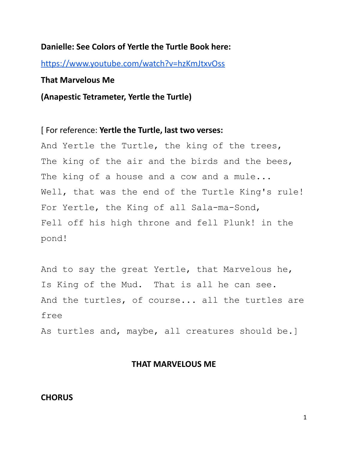#### **Danielle: See Colors of Yertle the Turtle Book here:**

<https://www.youtube.com/watch?v=hzKmJtxvOss>

#### **That Marvelous Me**

**(Anapestic Tetrameter, Yertle the Turtle)**

[ For reference: **Yertle the Turtle, last two verses:**

And Yertle the Turtle, the king of the trees, The king of the air and the birds and the bees, The king of a house and a cow and a mule... Well, that was the end of the Turtle King's rule! For Yertle, the King of all Sala-ma-Sond, Fell off his high throne and fell Plunk! in the pond!

And to say the great Yertle, that Marvelous he, Is King of the Mud. That is all he can see. And the turtles, of course... all the turtles are free

As turtles and, maybe, all creatures should be.]

### **THAT MARVELOUS ME**

### **CHORUS**

1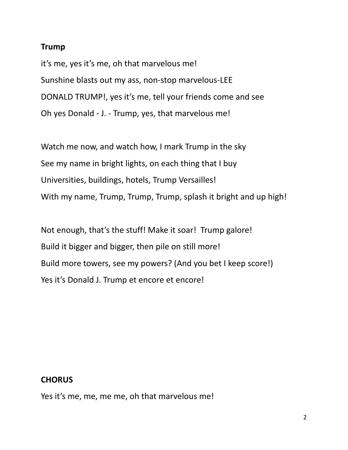### **Trump**

it's me, yes it's me, oh that marvelous me! Sunshine blasts out my ass, non-stop marvelous-LEE DONALD TRUMP!, yes it's me, tell your friends come and see Oh yes Donald - J. - Trump, yes, that marvelous me!

Watch me now, and watch how, I mark Trump in the sky See my name in bright lights, on each thing that I buy Universities, buildings, hotels, Trump Versailles! With my name, Trump, Trump, Trump, splash it bright and up high!

Not enough, that's the stuff! Make it soar! Trump galore! Build it bigger and bigger, then pile on still more! Build more towers, see my powers? (And you bet I keep score!) Yes it's Donald J. Trump et encore et encore!

## **CHORUS**

Yes it's me, me, me me, oh that marvelous me!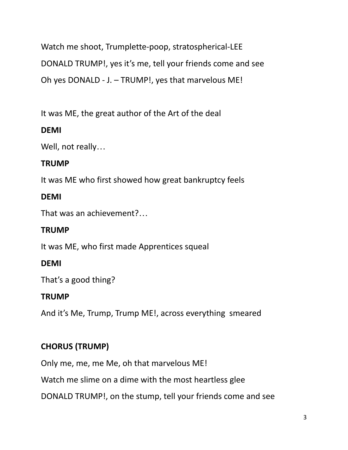Watch me shoot, Trumplette-poop, stratospherical-LEE DONALD TRUMP!, yes it's me, tell your friends come and see Oh yes DONALD - J. – TRUMP!, yes that marvelous ME!

It was ME, the great author of the Art of the deal

# **DEMI**

Well, not really…

# **TRUMP**

It was ME who first showed how great bankruptcy feels

# **DEMI**

That was an achievement?…

# **TRUMP**

It was ME, who first made Apprentices squeal

# **DEMI**

That's a good thing?

# **TRUMP**

And it's Me, Trump, Trump ME!, across everything smeared

# **CHORUS (TRUMP)**

Only me, me, me Me, oh that marvelous ME!

Watch me slime on a dime with the most heartless glee

DONALD TRUMP!, on the stump, tell your friends come and see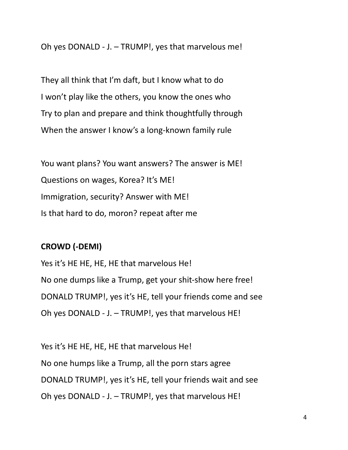Oh yes DONALD - J. – TRUMP!, yes that marvelous me!

They all think that I'm daft, but I know what to do I won't play like the others, you know the ones who Try to plan and prepare and think thoughtfully through When the answer I know's a long-known family rule

You want plans? You want answers? The answer is ME! Questions on wages, Korea? It's ME! Immigration, security? Answer with ME! Is that hard to do, moron? repeat after me

## **CROWD (-DEMI)**

Yes it's HE HE, HE, HE that marvelous He! No one dumps like a Trump, get your shit-show here free! DONALD TRUMP!, yes it's HE, tell your friends come and see Oh yes DONALD - J. – TRUMP!, yes that marvelous HE!

Yes it's HE HE, HE, HE that marvelous He! No one humps like a Trump, all the porn stars agree DONALD TRUMP!, yes it's HE, tell your friends wait and see Oh yes DONALD - J. – TRUMP!, yes that marvelous HE!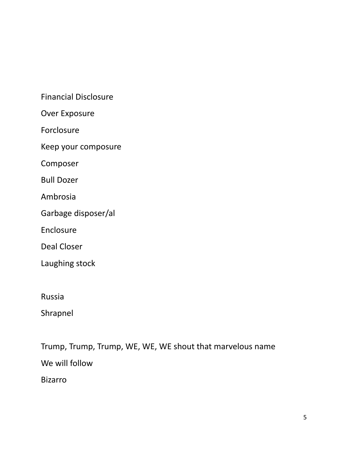Financial Disclosure

Over Exposure

Forclosure

Keep your composure

Composer

Bull Dozer

Ambrosia

Garbage disposer/al

Enclosure

Deal Closer

Laughing stock

Russia

Shrapnel

Trump, Trump, Trump, WE, WE, WE shout that marvelous name We will follow

Bizarro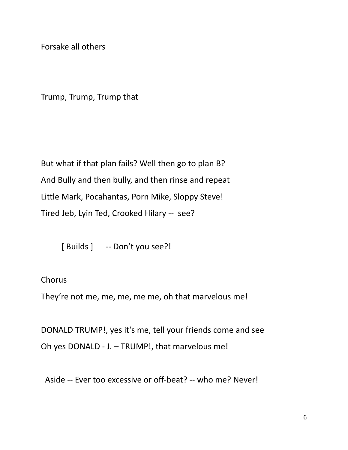Forsake all others

Trump, Trump, Trump that

But what if that plan fails? Well then go to plan B? And Bully and then bully, and then rinse and repeat Little Mark, Pocahantas, Porn Mike, Sloppy Steve! Tired Jeb, Lyin Ted, Crooked Hilary -- see?

[ Builds ] -- Don't you see?!

Chorus

They're not me, me, me, me me, oh that marvelous me!

DONALD TRUMP!, yes it's me, tell your friends come and see Oh yes DONALD - J. – TRUMP!, that marvelous me!

Aside -- Ever too excessive or off-beat? -- who me? Never!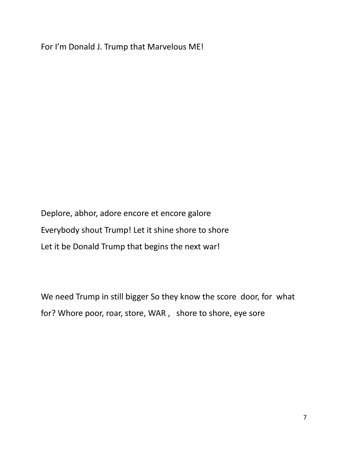For I'm Donald J. Trump that Marvelous ME!

Deplore, abhor, adore encore et encore galore Everybody shout Trump! Let it shine shore to shore Let it be Donald Trump that begins the next war!

We need Trump in still bigger So they know the score door, for what for? Whore poor, roar, store, WAR , shore to shore, eye sore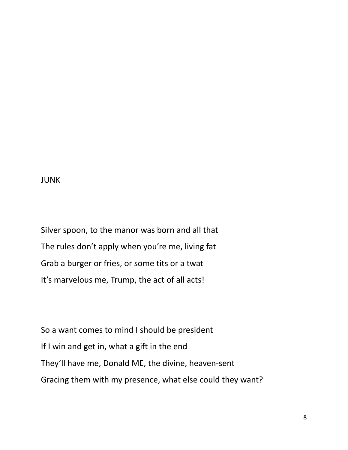### JUNK

Silver spoon, to the manor was born and all that The rules don't apply when you're me, living fat Grab a burger or fries, or some tits or a twat It's marvelous me, Trump, the act of all acts!

So a want comes to mind I should be president If I win and get in, what a gift in the end They'll have me, Donald ME, the divine, heaven-sent Gracing them with my presence, what else could they want?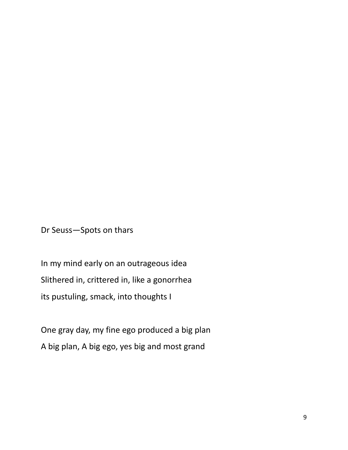Dr Seuss—Spots on thars

In my mind early on an outrageous idea Slithered in, crittered in, like a gonorrhea its pustuling, smack, into thoughts I

One gray day, my fine ego produced a big plan A big plan, A big ego, yes big and most grand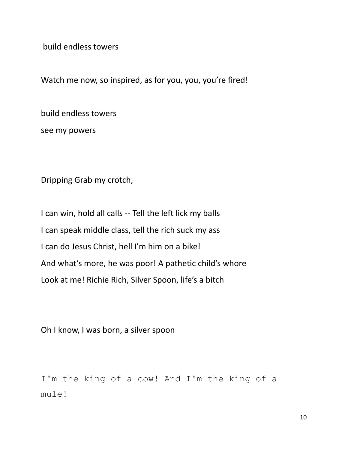build endless towers

Watch me now, so inspired, as for you, you, you're fired!

build endless towers

see my powers

Dripping Grab my crotch,

I can win, hold all calls -- Tell the left lick my balls I can speak middle class, tell the rich suck my ass I can do Jesus Christ, hell I'm him on a bike! And what's more, he was poor! A pathetic child's whore Look at me! Richie Rich, Silver Spoon, life's a bitch

Oh I know, I was born, a silver spoon

I'm the king of a cow! And I'm the king of a mule!